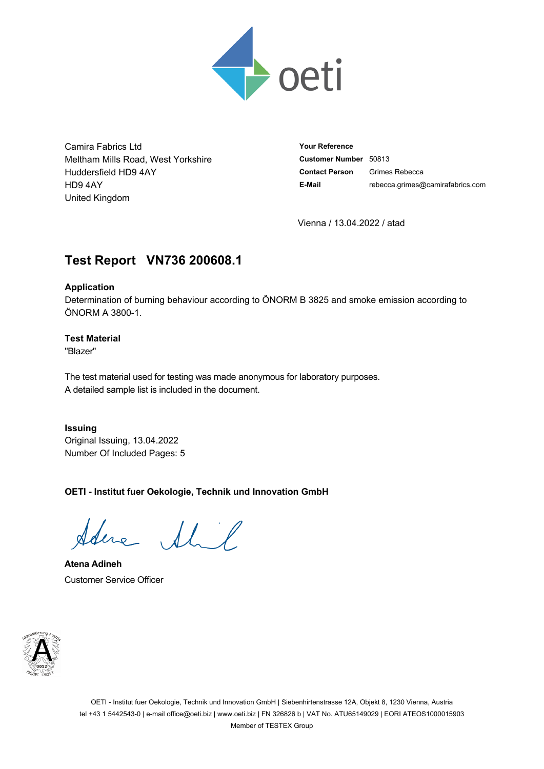

Camira Fabrics Ltd Meltham Mills Road, West Yorkshire Huddersfield HD9 4AY HD9 4AY United Kingdom

**Your Reference Customer Number** 50813 **Contact Person** Grimes Rebecca **E-Mail** rebecca.grimes@camirafabrics.com

Vienna / 13.04.2022 / atad

# **Test Report VN736.200608.1**

### **Application**

Determination of burning behaviour according to ÖNORM B 3825 and smoke emission according to ÖNORM A 3800-1.

# **Test Material**

"Blazer"

The test material used for testing was made anonymous for laboratory purposes. A detailed sample list is included in the document.

**Issuing** Original Issuing, 13.04.2022 Number Of Included Pages: 5

**OETI - Institut fuer Oekologie, Technik und Innovation GmbH**

Sdere Shil

**Atena Adineh** Customer Service Officer

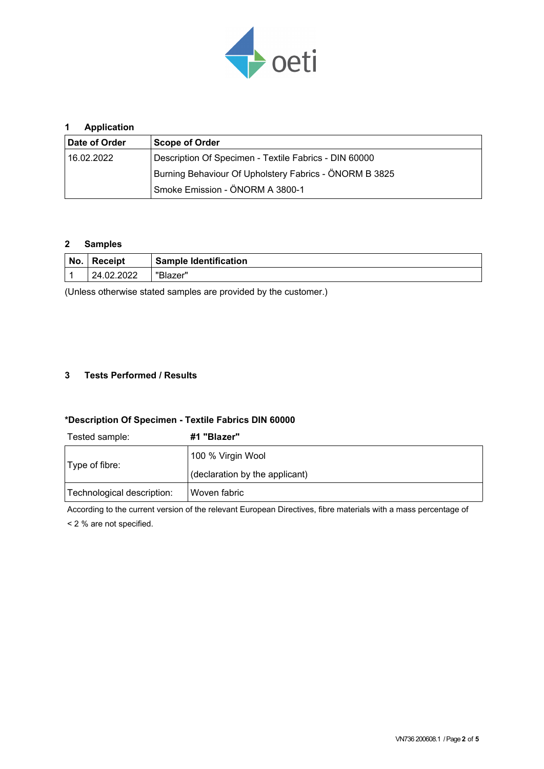

# **1 Application**

| Date of Order | <b>Scope of Order</b>                                  |  |  |  |  |  |
|---------------|--------------------------------------------------------|--|--|--|--|--|
| 16.02.2022    | Description Of Specimen - Textile Fabrics - DIN 60000  |  |  |  |  |  |
|               | Burning Behaviour Of Upholstery Fabrics - ÖNORM B 3825 |  |  |  |  |  |
|               | Smoke Emission - ÖNORM A 3800-1                        |  |  |  |  |  |

#### **2 Samples**

| No. | <b>Receipt</b> | Sample Identification |  |  |
|-----|----------------|-----------------------|--|--|
|     | 24.02.2022     | "Blazer"              |  |  |

(Unless otherwise stated samples are provided by the customer.)

### **3 Tests Performed / Results**

#### **\*Description Of Specimen - Textile Fabrics DIN 60000**

Tested sample: **#1 "Blazer"**

| Type of fibre:             | 100 % Virgin Wool              |  |  |  |
|----------------------------|--------------------------------|--|--|--|
|                            | (declaration by the applicant) |  |  |  |
| Technological description: | Woven fabric                   |  |  |  |

According to the current version of the relevant European Directives, fibre materials with a mass percentage of

< 2 % are not specified.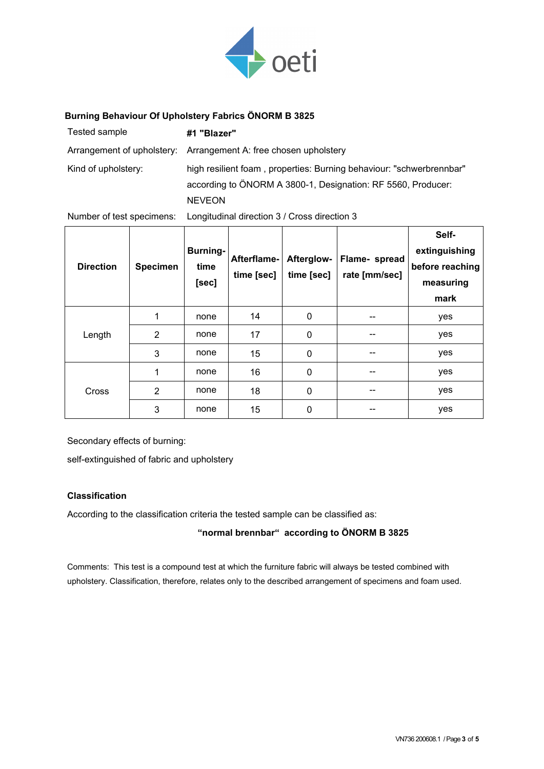

#### **Burning Behaviour Of Upholstery Fabrics ÖNORM B 3825**

| Tested sample       | #1 "Blazer"                                                                                                                                           |
|---------------------|-------------------------------------------------------------------------------------------------------------------------------------------------------|
|                     | Arrangement of upholstery: Arrangement A: free chosen upholstery                                                                                      |
| Kind of upholstery: | high resilient foam, properties: Burning behaviour: "schwerbrennbar"<br>according to ÖNORM A 3800-1, Designation: RF 5560, Producer:<br><b>NEVEON</b> |

Number of test specimens: Longitudinal direction 3 / Cross direction 3

| <b>Direction</b> | <b>Specimen</b> | <b>Burning-</b><br>time<br>[sec] | Afterflame-<br>time [sec] | Afterglow-<br>time [sec] | Flame- spread<br>rate [mm/sec] | Self-<br>extinguishing<br>before reaching<br>measuring<br>mark |
|------------------|-----------------|----------------------------------|---------------------------|--------------------------|--------------------------------|----------------------------------------------------------------|
| Length           | 1               | none                             | 14                        | 0                        |                                | yes                                                            |
|                  | $\overline{2}$  | none                             | 17                        | 0                        | --                             | yes                                                            |
|                  | 3               | none                             | 15                        | 0                        | --                             | yes                                                            |
| Cross            | 1               | none                             | 16                        | 0                        | --                             | yes                                                            |
|                  | 2               | none                             | 18                        | 0                        | --                             | yes                                                            |
|                  | 3               | none                             | 15                        | 0                        |                                | yes                                                            |

Secondary effects of burning:

self-extinguished of fabric and upholstery

# **Classification**

According to the classification criteria the tested sample can be classified as:

**"normal brennbar" according to ÖNORM B 3825**

Comments: This test is a compound test at which the furniture fabric will always be tested combined with upholstery. Classification, therefore, relates only to the described arrangement of specimens and foam used.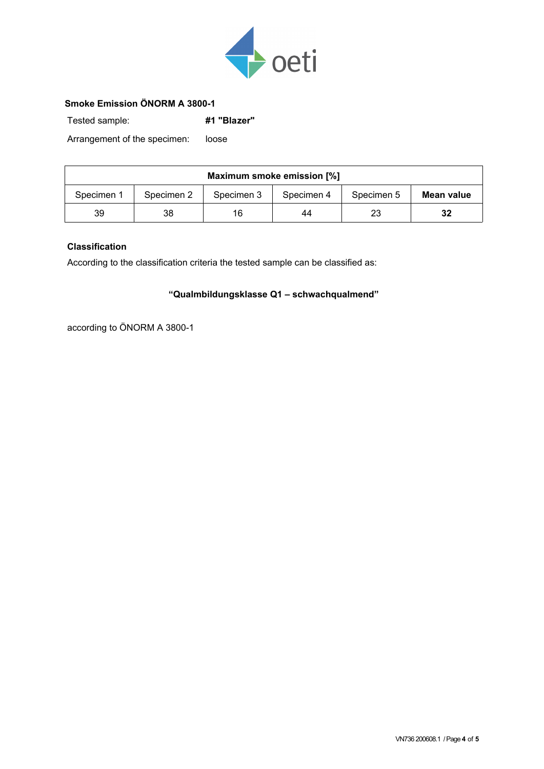

# **Smoke Emission ÖNORM A 3800-1**

Tested sample: **#1 "Blazer"**

Arrangement of the specimen: loose

| Maximum smoke emission [%] |            |            |            |            |            |  |  |  |
|----------------------------|------------|------------|------------|------------|------------|--|--|--|
| Specimen 1                 | Specimen 2 | Specimen 3 | Specimen 4 | Specimen 5 | Mean value |  |  |  |
| 39                         | 38         | 16         | 44         | 23         | 32         |  |  |  |

### **Classification**

According to the classification criteria the tested sample can be classified as:

# **"Qualmbildungsklasse Q1 – schwachqualmend"**

according to ÖNORM A 3800-1